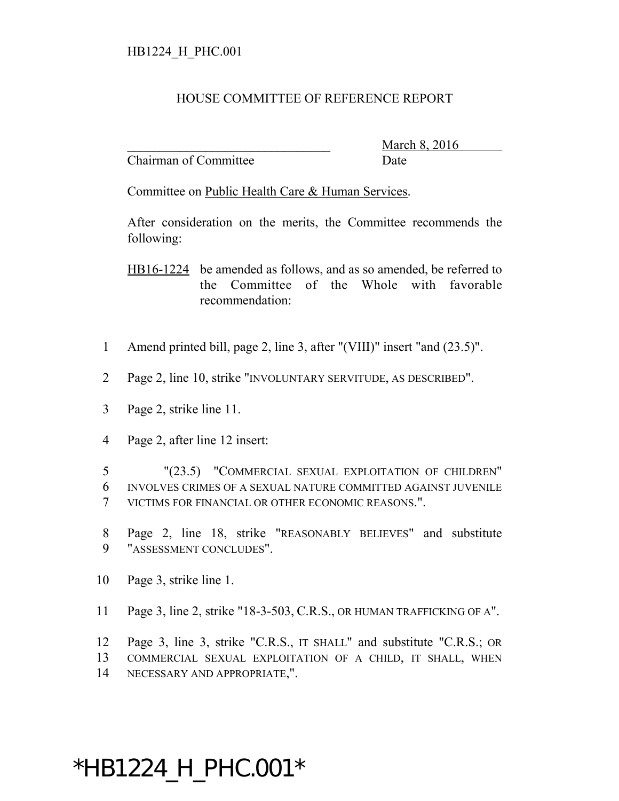## HOUSE COMMITTEE OF REFERENCE REPORT

Chairman of Committee Date

March 8, 2016

Committee on Public Health Care & Human Services.

After consideration on the merits, the Committee recommends the following:

HB16-1224 be amended as follows, and as so amended, be referred to the Committee of the Whole with favorable recommendation:

- 1 Amend printed bill, page 2, line 3, after "(VIII)" insert "and (23.5)".
- 2 Page 2, line 10, strike "INVOLUNTARY SERVITUDE, AS DESCRIBED".
- 3 Page 2, strike line 11.
- 4 Page 2, after line 12 insert:

5 "(23.5) "COMMERCIAL SEXUAL EXPLOITATION OF CHILDREN" 6 INVOLVES CRIMES OF A SEXUAL NATURE COMMITTED AGAINST JUVENILE 7 VICTIMS FOR FINANCIAL OR OTHER ECONOMIC REASONS.".

- 8 Page 2, line 18, strike "REASONABLY BELIEVES" and substitute 9 "ASSESSMENT CONCLUDES".
- 10 Page 3, strike line 1.
- 11 Page 3, line 2, strike "18-3-503, C.R.S., OR HUMAN TRAFFICKING OF A".

12 Page 3, line 3, strike "C.R.S., IT SHALL" and substitute "C.R.S.; OR 13 COMMERCIAL SEXUAL EXPLOITATION OF A CHILD, IT SHALL, WHEN 14 NECESSARY AND APPROPRIATE,".

## \*HB1224\_H\_PHC.001\*